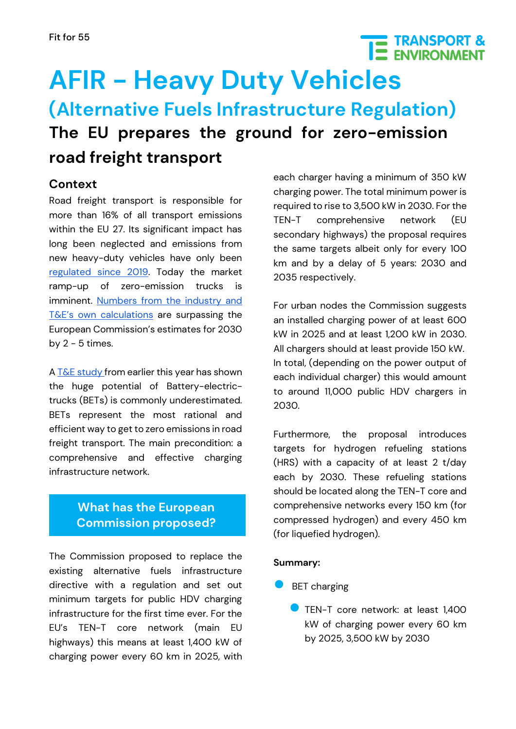## **TE TRANSPORT &**<br>**IE ENVIRONMENT AFIR - Heavy Duty Vehicles (Alternative Fuels Infrastructure Regulation) The EU prepares the ground for zero-emission road freight transport**

#### **Context**

Road freight transport is responsible for more than 16% of all transport emissions within the EU 27. Its significant impact has long been neglected and emissions from new heavy-duty vehicles have only been [regulated since 2019.](https://eur-lex.europa.eu/legal-content/EN/TXT/?uri=CELEX%3A32019R1242) Today the market ramp-up of zero-emission trucks is imminent. [Numbers from the industry and](https://www.transportenvironment.org/wp-content/uploads/2021/07/2021_04_letter_TE_ACEA_trucks_AFID_FINAL.pdf)  [T&E's own calculations](https://www.transportenvironment.org/wp-content/uploads/2021/07/2021_04_letter_TE_ACEA_trucks_AFID_FINAL.pdf) are surpassing the European Commission's estimates for 2030 by  $2 - 5$  times.

A  $T&E$  study from earlier this year has shown the huge potential of Battery-electrictrucks (BETs) is commonly underestimated. BETs represent the most rational and efficient way to get to zero emissions in road freight transport. The main precondition: a comprehensive and effective charging infrastructure network.

#### **What has the European Commission proposed?**

The Commission proposed to replace the existing alternative fuels infrastructure directive with a regulation and set out minimum targets for public HDV charging infrastructure for the first time ever. For the EU's TEN-T core network (main EU highways) this means at least 1,400 kW of charging power every 60 km in 2025, with

each charger having a minimum of 350 kW charging power. The total minimum power is required to rise to 3,500 kW in 2030. For the TEN-T comprehensive network (EU secondary highways) the proposal requires the same targets albeit only for every 100 km and by a delay of 5 years: 2030 and 2035 respectively.

For urban nodes the Commission suggests an installed charging power of at least 600 kW in 2025 and at least 1,200 kW in 2030. All chargers should at least provide 150 kW. In total, (depending on the power output of each individual charger) this would amount to around 11,000 public HDV chargers in 2030.

Furthermore, the proposal introduces targets for hydrogen refueling stations (HRS) with a capacity of at least 2 t/day each by 2030. These refueling stations should be located along the TEN-T core and comprehensive networks every 150 km (for compressed hydrogen) and every 450 km (for liquefied hydrogen).

#### **Summary:**

- **BET** charging
	- **O** TEN-T core network: at least 1,400 kW of charging power every 60 km by 2025, 3,500 kW by 2030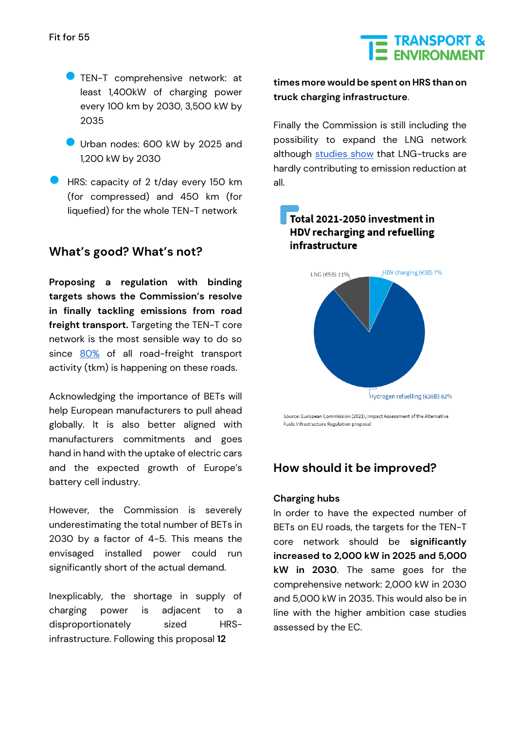# THE TRANSPORT &

- **B** TEN-T comprehensive network: at least 1,400kW of charging power every 100 km by 2030, 3,500 kW by 2035
- Urban nodes: 600 kW by 2025 and 1,200 kW by 2030
- HRS: capacity of 2 t/day every 150 km (for compressed) and 450 km (for liquefied) for the whole TEN-T network

#### **What's good? What's not?**

**Proposing a regulation with binding targets shows the Commission's resolve in finally tackling emissions from road freight transport.** Targeting the TEN-T core network is the most sensible way to do so since [80%](https://www.transportenvironment.org/discover/unlocking-electric-trucking-eu-recharging-along-highways/) of all road-freight transport activity (tkm) is happening on these roads.

Acknowledging the importance of BETs will help European manufacturers to pull ahead globally. It is also better aligned with manufacturers commitments and goes hand in hand with the uptake of electric cars and the expected growth of Europe's battery cell industry.

However, the Commission is severely underestimating the total number of BETs in 2030 by a factor of 4-5. This means the envisaged installed power could run significantly short of the actual demand.

Inexplicably, the shortage in supply of charging power is adjacent to a disproportionately sized HRSinfrastructure. Following this proposal **12** 

**times more would be spent on HRS than on truck charging infrastructure**.

Finally the Commission is still including the possibility to expand the LNG network although [studies show](https://www.transportenvironment.org/wp-content/uploads/2021/09/202109_TE_LNG_trucks_a_dead_end_bridge_final.pdf) that LNG-trucks are hardly contributing to emission reduction at all.

#### Total 2021-2050 investment in HDV recharging and refuelling infrastructure



Source: European Commission (2021), Impact Assessment of the Alternative Fuels Infrastructure Regulation proposal

#### **How should it be improved?**

#### **Charging hubs**

In order to have the expected number of BETs on EU roads, the targets for the TEN-T core network should be **significantly increased to 2,000 kW in 2025 and 5,000 kW in 2030**. The same goes for the comprehensive network: 2,000 kW in 2030 and 5,000 kW in 2035. This would also be in line with the higher ambition case studies assessed by the EC.